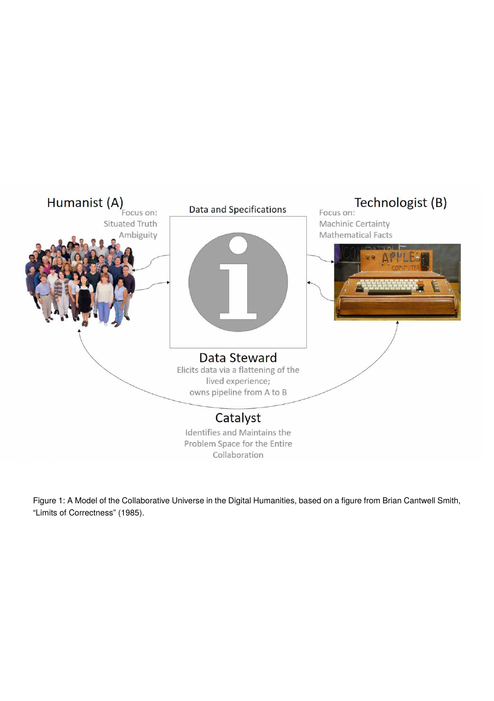

Figure 1: A Model of the Collaborative Universe in the Digital Humanities, based on a figure from Brian Cantwell Smith, "Limits of Correctness" (1985).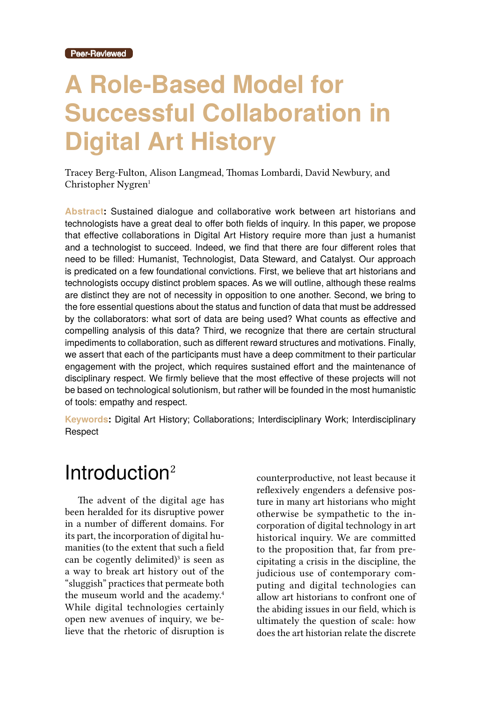# **A Role-Based Model for Successful Collaboration in Digital Art History**

Tracey Berg-Fulton, Alison Langmead, Thomas Lombardi, David Newbury, and Christopher Nygren<sup>1</sup>

**Abstract:** Sustained dialogue and collaborative work between art historians and technologists have a great deal to offer both fields of inquiry. In this paper, we propose that effective collaborations in Digital Art History require more than just a humanist and a technologist to succeed. Indeed, we find that there are four different roles that need to be filled: Humanist, Technologist, Data Steward, and Catalyst. Our approach is predicated on a few foundational convictions. First, we believe that art historians and technologists occupy distinct problem spaces. As we will outline, although these realms are distinct they are not of necessity in opposition to one another. Second, we bring to the fore essential questions about the status and function of data that must be addressed by the collaborators: what sort of data are being used? What counts as effective and compelling analysis of this data? Third, we recognize that there are certain structural impediments to collaboration, such as different reward structures and motivations. Finally, we assert that each of the participants must have a deep commitment to their particular engagement with the project, which requires sustained effort and the maintenance of disciplinary respect. We firmly believe that the most effective of these projects will not be based on technological solutionism, but rather will be founded in the most humanistic of tools: empathy and respect.

**Keywords:** Digital Art History; Collaborations; Interdisciplinary Work; Interdisciplinary Respect

#### Introduction<sup>2</sup>

The advent of the digital age has been heralded for its disruptive power in a number of different domains. For its part, the incorporation of digital humanities (to the extent that such a field can be cogently delimited)<sup>3</sup> is seen as a way to break art history out of the "sluggish" practices that permeate both the museum world and the academy.<sup>4</sup> While digital technologies certainly open new avenues of inquiry, we believe that the rhetoric of disruption is

counterproductive, not least because it reflexively engenders a defensive posture in many art historians who might otherwise be sympathetic to the incorporation of digital technology in art historical inquiry. We are committed to the proposition that, far from precipitating a crisis in the discipline, the judicious use of contemporary computing and digital technologies can allow art historians to confront one of the abiding issues in our field, which is ultimately the question of scale: how does the art historian relate the discrete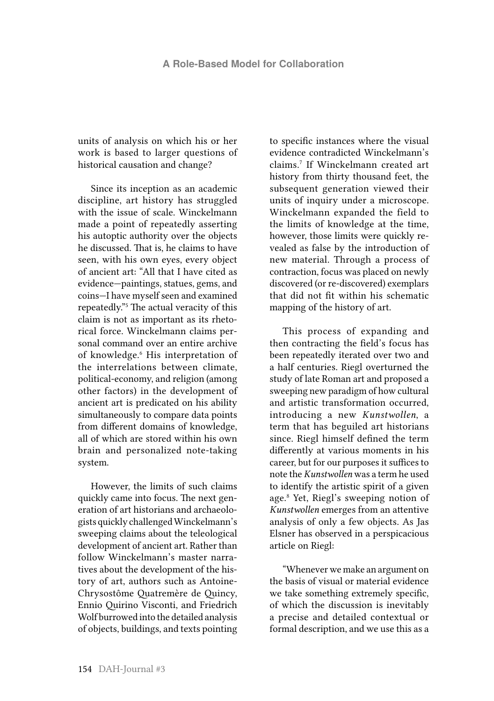units of analysis on which his or her work is based to larger questions of historical causation and change?

Since its inception as an academic discipline, art history has struggled with the issue of scale. Winckelmann made a point of repeatedly asserting his autoptic authority over the objects he discussed. That is, he claims to have seen, with his own eyes, every object of ancient art: "All that I have cited as evidence—paintings, statues, gems, and coins—I have myself seen and examined repeatedly."5 The actual veracity of this claim is not as important as its rhetorical force. Winckelmann claims personal command over an entire archive of knowledge.<sup>6</sup> His interpretation of the interrelations between climate, political-economy, and religion (among other factors) in the development of ancient art is predicated on his ability simultaneously to compare data points from different domains of knowledge, all of which are stored within his own brain and personalized note-taking system.

However, the limits of such claims quickly came into focus. The next generation of art historians and archaeologists quickly challenged Winckelmann's sweeping claims about the teleological development of ancient art. Rather than follow Winckelmann's master narratives about the development of the history of art, authors such as Antoine-Chrysostôme Quatremère de Quincy, Ennio Quirino Visconti, and Friedrich Wolf burrowed into the detailed analysis of objects, buildings, and texts pointing to specific instances where the visual evidence contradicted Winckelmann's claims.7 If Winckelmann created art history from thirty thousand feet, the subsequent generation viewed their units of inquiry under a microscope. Winckelmann expanded the field to the limits of knowledge at the time, however, those limits were quickly revealed as false by the introduction of new material. Through a process of contraction, focus was placed on newly discovered (or re-discovered) exemplars that did not fit within his schematic mapping of the history of art.

This process of expanding and then contracting the field's focus has been repeatedly iterated over two and a half centuries. Riegl overturned the study of late Roman art and proposed a sweeping new paradigm of how cultural and artistic transformation occurred, introducing a new *Kunstwollen*, a term that has beguiled art historians since. Riegl himself defined the term differently at various moments in his career, but for our purposes it suffices to note the *Kunstwollen* was a term he used to identify the artistic spirit of a given age.8 Yet, Riegl's sweeping notion of *Kunstwollen* emerges from an attentive analysis of only a few objects. As Jas Elsner has observed in a perspicacious article on Riegl:

"Whenever we make an argument on the basis of visual or material evidence we take something extremely specific, of which the discussion is inevitably a precise and detailed contextual or formal description, and we use this as a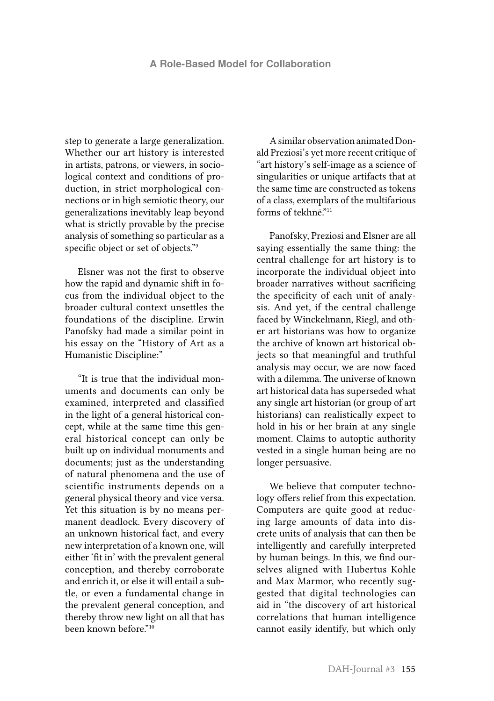step to generate a large generalization. Whether our art history is interested in artists, patrons, or viewers, in sociological context and conditions of production, in strict morphological connections or in high semiotic theory, our generalizations inevitably leap beyond what is strictly provable by the precise analysis of something so particular as a specific object or set of objects."<sup>9</sup>

Elsner was not the first to observe how the rapid and dynamic shift in focus from the individual object to the broader cultural context unsettles the foundations of the discipline. Erwin Panofsky had made a similar point in his essay on the "History of Art as a Humanistic Discipline:"

"It is true that the individual monuments and documents can only be examined, interpreted and classified in the light of a general historical concept, while at the same time this general historical concept can only be built up on individual monuments and documents; just as the understanding of natural phenomena and the use of scientific instruments depends on a general physical theory and vice versa. Yet this situation is by no means permanent deadlock. Every discovery of an unknown historical fact, and every new interpretation of a known one, will either 'fit in' with the prevalent general conception, and thereby corroborate and enrich it, or else it will entail a subtle, or even a fundamental change in the prevalent general conception, and thereby throw new light on all that has been known before."10

A similar observation animated Donald Preziosi's yet more recent critique of "art history's self-image as a science of singularities or unique artifacts that at the same time are constructed as tokens of a class, exemplars of the multifarious forms of tekhnē."<sup>11</sup>

Panofsky, Preziosi and Elsner are all saying essentially the same thing: the central challenge for art history is to incorporate the individual object into broader narratives without sacrificing the specificity of each unit of analysis. And yet, if the central challenge faced by Winckelmann, Riegl, and other art historians was how to organize the archive of known art historical objects so that meaningful and truthful analysis may occur, we are now faced with a dilemma. The universe of known art historical data has superseded what any single art historian (or group of art historians) can realistically expect to hold in his or her brain at any single moment. Claims to autoptic authority vested in a single human being are no longer persuasive.

We believe that computer technology offers relief from this expectation. Computers are quite good at reducing large amounts of data into discrete units of analysis that can then be intelligently and carefully interpreted by human beings. In this, we find ourselves aligned with Hubertus Kohle and Max Marmor, who recently suggested that digital technologies can aid in "the discovery of art historical correlations that human intelligence cannot easily identify, but which only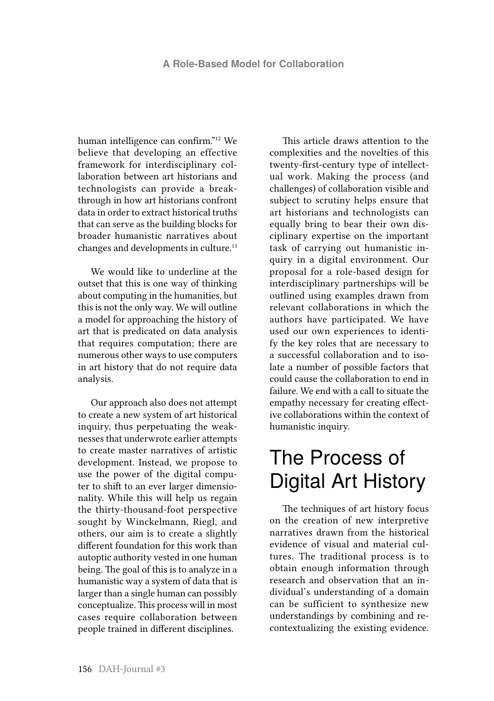human intelligence can confirm."12 We believe that developing an effective framework for interdisciplinary collaboration between art historians and technologists can provide a breakthrough in how art historians confront data in order to extract historical truths that can serve as the building blocks for broader humanistic narratives about changes and developments in culture.13

We would like to underline at the outset that this is one way of thinking about computing in the humanities, but this is not the only way. We will outline a model for approaching the history of art that is predicated on data analysis that requires computation; there are numerous other ways to use computers in art history that do not require data analysis.

Our approach also does not attempt to create a new system of art historical inquiry, thus perpetuating the weaknesses that underwrote earlier attempts to create master narratives of artistic development. Instead, we propose to use the power of the digital computer to shift to an ever larger dimensionality. While this will help us regain the thirty-thousand-foot perspective sought by Winckelmann, Riegl, and others, our aim is to create a slightly different foundation for this work than autoptic authority vested in one human being. The goal of this is to analyze in a humanistic way a system of data that is larger than a single human can possibly conceptualize. This process will in most cases require collaboration between people trained in different disciplines.

This article draws attention to the complexities and the novelties of this twenty-first-century type of intellectual work. Making the process (and challenges) of collaboration visible and subject to scrutiny helps ensure that art historians and technologists can equally bring to bear their own disciplinary expertise on the important task of carrying out humanistic inquiry in a digital environment. Our proposal for a role-based design for interdisciplinary partnerships will be outlined using examples drawn from relevant collaborations in which the authors have participated. We have used our own experiences to identify the key roles that are necessary to a successful collaboration and to isolate a number of possible factors that could cause the collaboration to end in failure. We end with a call to situate the empathy necessary for creating effective collaborations within the context of humanistic inquiry.

### The Process of Digital Art History

The techniques of art history focus on the creation of new interpretive narratives drawn from the historical evidence of visual and material cultures. The traditional process is to obtain enough information through research and observation that an individual's understanding of a domain can be sufficient to synthesize new understandings by combining and recontextualizing the existing evidence.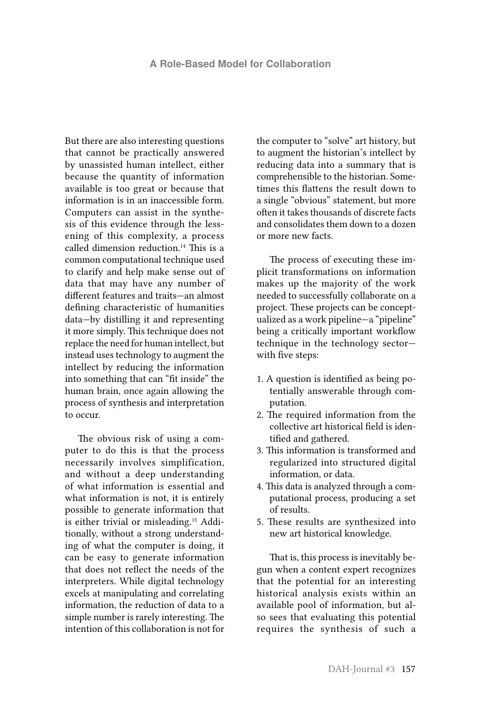But there are also interesting questions that cannot be practically answered by unassisted human intellect, either because the quantity of information available is too great or because that information is in an inaccessible form. Computers can assist in the synthesis of this evidence through the lessening of this complexity, a process called dimension reduction.14 This is a common computational technique used to clarify and help make sense out of data that may have any number of different features and traits—an almost defining characteristic of humanities data—by distilling it and representing it more simply. This technique does not replace the need for human intellect, but instead uses technology to augment the intellect by reducing the information into something that can "fit inside" the human brain, once again allowing the process of synthesis and interpretation to occur.

The obvious risk of using a computer to do this is that the process necessarily involves simplification, and without a deep understanding of what information is essential and what information is not, it is entirely possible to generate information that is either trivial or misleading.15 Additionally, without a strong understanding of what the computer is doing, it can be easy to generate information that does not reflect the needs of the interpreters. While digital technology excels at manipulating and correlating information, the reduction of data to a simple number is rarely interesting. The intention of this collaboration is not for

the computer to "solve" art history, but to augment the historian's intellect by reducing data into a summary that is comprehensible to the historian. Sometimes this flattens the result down to a single "obvious" statement, but more often it takes thousands of discrete facts and consolidates them down to a dozen or more new facts.

The process of executing these implicit transformations on information makes up the majority of the work needed to successfully collaborate on a project. These projects can be conceptualized as a work pipeline—a "pipeline" being a critically important workflow technique in the technology sector with five steps:

- 1. A question is identified as being potentially answerable through computation.
- 2. The required information from the collective art historical field is identified and gathered.
- 3. This information is transformed and regularized into structured digital information, or data.
- 4. This data is analyzed through a computational process, producing a set of results.
- 5. These results are synthesized into new art historical knowledge.

That is, this process is inevitably begun when a content expert recognizes that the potential for an interesting historical analysis exists within an available pool of information, but also sees that evaluating this potential requires the synthesis of such a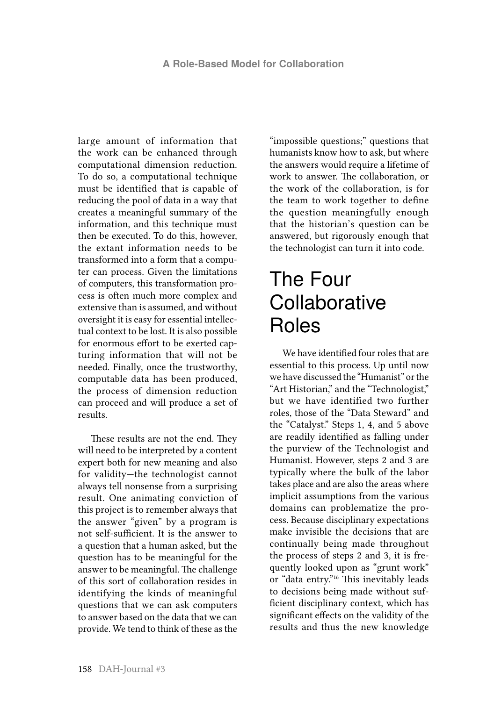large amount of information that the work can be enhanced through computational dimension reduction. To do so, a computational technique must be identified that is capable of reducing the pool of data in a way that creates a meaningful summary of the information, and this technique must then be executed. To do this, however, the extant information needs to be transformed into a form that a computer can process. Given the limitations of computers, this transformation process is often much more complex and extensive than is assumed, and without oversight it is easy for essential intellectual context to be lost. It is also possible for enormous effort to be exerted capturing information that will not be needed. Finally, once the trustworthy, computable data has been produced, the process of dimension reduction can proceed and will produce a set of results.

These results are not the end. They will need to be interpreted by a content expert both for new meaning and also for validity—the technologist cannot always tell nonsense from a surprising result. One animating conviction of this project is to remember always that the answer "given" by a program is not self-sufficient. It is the answer to a question that a human asked, but the question has to be meaningful for the answer to be meaningful. The challenge of this sort of collaboration resides in identifying the kinds of meaningful questions that we can ask computers to answer based on the data that we can provide. We tend to think of these as the

"impossible questions;" questions that humanists know how to ask, but where the answers would require a lifetime of work to answer. The collaboration, or the work of the collaboration, is for the team to work together to define the question meaningfully enough that the historian's question can be answered, but rigorously enough that the technologist can turn it into code.

### The Four **Collaborative** Roles

We have identified four roles that are essential to this process. Up until now we have discussed the "Humanist" or the "Art Historian," and the "Technologist," but we have identified two further roles, those of the "Data Steward" and the "Catalyst." Steps 1, 4, and 5 above are readily identified as falling under the purview of the Technologist and Humanist. However, steps 2 and 3 are typically where the bulk of the labor takes place and are also the areas where implicit assumptions from the various domains can problematize the process. Because disciplinary expectations make invisible the decisions that are continually being made throughout the process of steps 2 and 3, it is frequently looked upon as "grunt work" or "data entry."16 This inevitably leads to decisions being made without sufficient disciplinary context, which has significant effects on the validity of the results and thus the new knowledge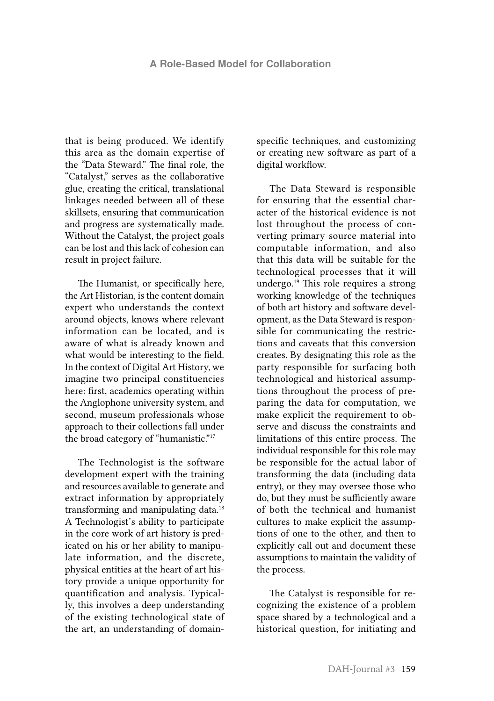that is being produced. We identify this area as the domain expertise of the "Data Steward." The final role, the "Catalyst," serves as the collaborative glue, creating the critical, translational linkages needed between all of these skillsets, ensuring that communication and progress are systematically made. Without the Catalyst, the project goals can be lost and this lack of cohesion can result in project failure.

The Humanist, or specifically here, the Art Historian, is the content domain expert who understands the context around objects, knows where relevant information can be located, and is aware of what is already known and what would be interesting to the field. In the context of Digital Art History, we imagine two principal constituencies here: first, academics operating within the Anglophone university system, and second, museum professionals whose approach to their collections fall under the broad category of "humanistic."<sup>17</sup>

The Technologist is the software development expert with the training and resources available to generate and extract information by appropriately transforming and manipulating data.<sup>18</sup> A Technologist's ability to participate in the core work of art history is predicated on his or her ability to manipulate information, and the discrete, physical entities at the heart of art history provide a unique opportunity for quantification and analysis. Typically, this involves a deep understanding of the existing technological state of the art, an understanding of domainspecific techniques, and customizing or creating new software as part of a digital workflow.

The Data Steward is responsible for ensuring that the essential character of the historical evidence is not lost throughout the process of converting primary source material into computable information, and also that this data will be suitable for the technological processes that it will undergo.<sup>19</sup> This role requires a strong working knowledge of the techniques of both art history and software development, as the Data Steward is responsible for communicating the restrictions and caveats that this conversion creates. By designating this role as the party responsible for surfacing both technological and historical assumptions throughout the process of preparing the data for computation, we make explicit the requirement to observe and discuss the constraints and limitations of this entire process. The individual responsible for this role may be responsible for the actual labor of transforming the data (including data entry), or they may oversee those who do, but they must be sufficiently aware of both the technical and humanist cultures to make explicit the assumptions of one to the other, and then to explicitly call out and document these assumptions to maintain the validity of the process.

The Catalyst is responsible for recognizing the existence of a problem space shared by a technological and a historical question, for initiating and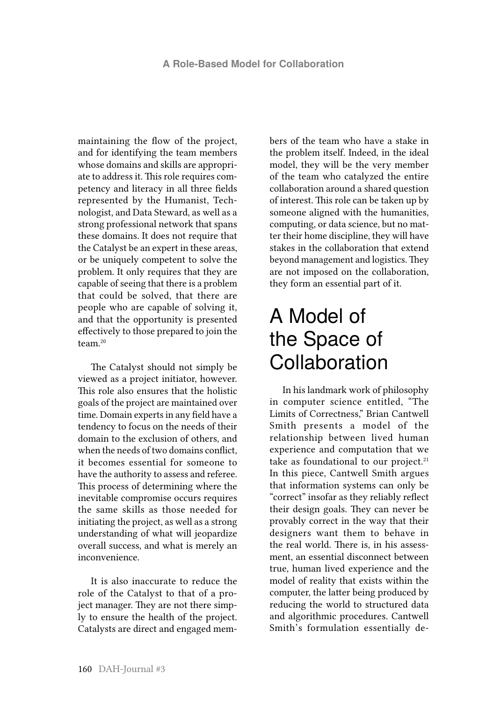maintaining the flow of the project, and for identifying the team members whose domains and skills are appropriate to address it. This role requires competency and literacy in all three fields represented by the Humanist, Technologist, and Data Steward, as well as a strong professional network that spans these domains. It does not require that the Catalyst be an expert in these areas, or be uniquely competent to solve the problem. It only requires that they are capable of seeing that there is a problem that could be solved, that there are people who are capable of solving it, and that the opportunity is presented effectively to those prepared to join the team.20

The Catalyst should not simply be viewed as a project initiator, however. This role also ensures that the holistic goals of the project are maintained over time. Domain experts in any field have a tendency to focus on the needs of their domain to the exclusion of others, and when the needs of two domains conflict, it becomes essential for someone to have the authority to assess and referee. This process of determining where the inevitable compromise occurs requires the same skills as those needed for initiating the project, as well as a strong understanding of what will jeopardize overall success, and what is merely an inconvenience.

It is also inaccurate to reduce the role of the Catalyst to that of a project manager. They are not there simply to ensure the health of the project. Catalysts are direct and engaged members of the team who have a stake in the problem itself. Indeed, in the ideal model, they will be the very member of the team who catalyzed the entire collaboration around a shared question of interest. This role can be taken up by someone aligned with the humanities, computing, or data science, but no matter their home discipline, they will have stakes in the collaboration that extend beyond management and logistics. They are not imposed on the collaboration, they form an essential part of it.

# A Model of the Space of Collaboration

In his landmark work of philosophy in computer science entitled, "The Limits of Correctness," Brian Cantwell Smith presents a model of the relationship between lived human experience and computation that we take as foundational to our project. $21$ In this piece, Cantwell Smith argues that information systems can only be "correct" insofar as they reliably reflect their design goals. They can never be provably correct in the way that their designers want them to behave in the real world. There is, in his assessment, an essential disconnect between true, human lived experience and the model of reality that exists within the computer, the latter being produced by reducing the world to structured data and algorithmic procedures. Cantwell Smith's formulation essentially de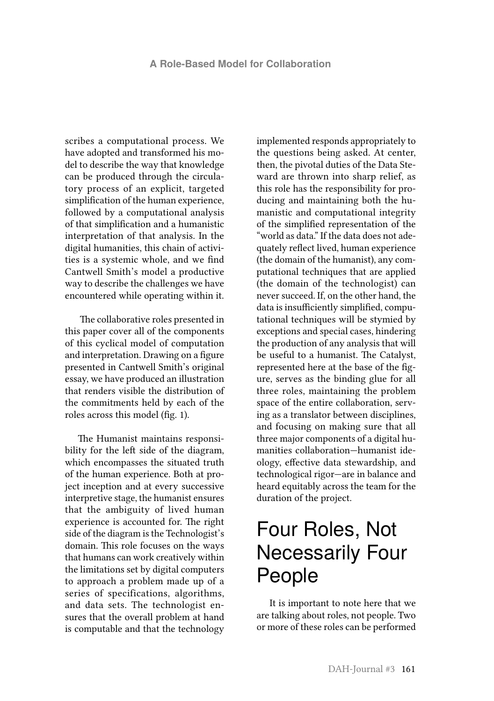scribes a computational process. We have adopted and transformed his model to describe the way that knowledge can be produced through the circulatory process of an explicit, targeted simplification of the human experience, followed by a computational analysis of that simplification and a humanistic interpretation of that analysis. In the digital humanities, this chain of activities is a systemic whole, and we find Cantwell Smith's model a productive way to describe the challenges we have encountered while operating within it.

 The collaborative roles presented in this paper cover all of the components of this cyclical model of computation and interpretation. Drawing on a figure presented in Cantwell Smith's original essay, we have produced an illustration that renders visible the distribution of the commitments held by each of the roles across this model (fig. 1).

The Humanist maintains responsibility for the left side of the diagram, which encompasses the situated truth of the human experience. Both at project inception and at every successive interpretive stage, the humanist ensures that the ambiguity of lived human experience is accounted for. The right side of the diagram is the Technologist's domain. This role focuses on the ways that humans can work creatively within the limitations set by digital computers to approach a problem made up of a series of specifications, algorithms, and data sets. The technologist ensures that the overall problem at hand is computable and that the technology

implemented responds appropriately to the questions being asked. At center, then, the pivotal duties of the Data Steward are thrown into sharp relief, as this role has the responsibility for producing and maintaining both the humanistic and computational integrity of the simplified representation of the "world as data." If the data does not adequately reflect lived, human experience (the domain of the humanist), any computational techniques that are applied (the domain of the technologist) can never succeed. If, on the other hand, the data is insufficiently simplified, computational techniques will be stymied by exceptions and special cases, hindering the production of any analysis that will be useful to a humanist. The Catalyst, represented here at the base of the figure, serves as the binding glue for all three roles, maintaining the problem space of the entire collaboration, serving as a translator between disciplines, and focusing on making sure that all three major components of a digital humanities collaboration—humanist ideology, effective data stewardship, and technological rigor—are in balance and heard equitably across the team for the duration of the project.

# Four Roles, Not Necessarily Four People

It is important to note here that we are talking about roles, not people. Two or more of these roles can be performed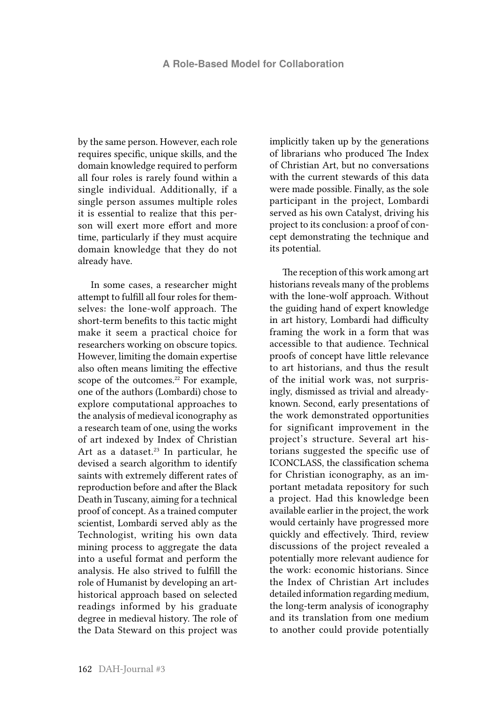by the same person. However, each role requires specific, unique skills, and the domain knowledge required to perform all four roles is rarely found within a single individual. Additionally, if a single person assumes multiple roles it is essential to realize that this person will exert more effort and more time, particularly if they must acquire domain knowledge that they do not already have.

In some cases, a researcher might attempt to fulfill all four roles for themselves: the lone-wolf approach. The short-term benefits to this tactic might make it seem a practical choice for researchers working on obscure topics. However, limiting the domain expertise also often means limiting the effective scope of the outcomes.<sup>22</sup> For example, one of the authors (Lombardi) chose to explore computational approaches to the analysis of medieval iconography as a research team of one, using the works of art indexed by Index of Christian Art as a dataset.<sup>23</sup> In particular, he devised a search algorithm to identify saints with extremely different rates of reproduction before and after the Black Death in Tuscany, aiming for a technical proof of concept. As a trained computer scientist, Lombardi served ably as the Technologist, writing his own data mining process to aggregate the data into a useful format and perform the analysis. He also strived to fulfill the role of Humanist by developing an arthistorical approach based on selected readings informed by his graduate degree in medieval history. The role of the Data Steward on this project was implicitly taken up by the generations of librarians who produced The Index of Christian Art, but no conversations with the current stewards of this data were made possible. Finally, as the sole participant in the project, Lombardi served as his own Catalyst, driving his project to its conclusion: a proof of concept demonstrating the technique and its potential.

The reception of this work among art historians reveals many of the problems with the lone-wolf approach. Without the guiding hand of expert knowledge in art history, Lombardi had difficulty framing the work in a form that was accessible to that audience. Technical proofs of concept have little relevance to art historians, and thus the result of the initial work was, not surprisingly, dismissed as trivial and alreadyknown. Second, early presentations of the work demonstrated opportunities for significant improvement in the project's structure. Several art historians suggested the specific use of ICONCLASS, the classification schema for Christian iconography, as an important metadata repository for such a project. Had this knowledge been available earlier in the project, the work would certainly have progressed more quickly and effectively. Third, review discussions of the project revealed a potentially more relevant audience for the work: economic historians. Since the Index of Christian Art includes detailed information regarding medium, the long-term analysis of iconography and its translation from one medium to another could provide potentially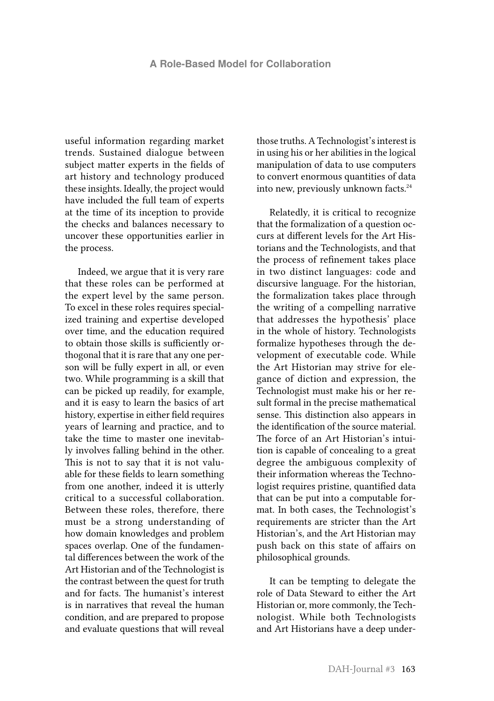useful information regarding market trends. Sustained dialogue between subject matter experts in the fields of art history and technology produced these insights. Ideally, the project would have included the full team of experts at the time of its inception to provide the checks and balances necessary to uncover these opportunities earlier in the process.

Indeed, we argue that it is very rare that these roles can be performed at the expert level by the same person. To excel in these roles requires specialized training and expertise developed over time, and the education required to obtain those skills is sufficiently orthogonal that it is rare that any one person will be fully expert in all, or even two. While programming is a skill that can be picked up readily, for example, and it is easy to learn the basics of art history, expertise in either field requires years of learning and practice, and to take the time to master one inevitably involves falling behind in the other. This is not to say that it is not valuable for these fields to learn something from one another, indeed it is utterly critical to a successful collaboration. Between these roles, therefore, there must be a strong understanding of how domain knowledges and problem spaces overlap. One of the fundamental differences between the work of the Art Historian and of the Technologist is the contrast between the quest for truth and for facts. The humanist's interest is in narratives that reveal the human condition, and are prepared to propose and evaluate questions that will reveal

those truths. A Technologist's interest is in using his or her abilities in the logical manipulation of data to use computers to convert enormous quantities of data into new, previously unknown facts.<sup>24</sup>

Relatedly, it is critical to recognize that the formalization of a question occurs at different levels for the Art Historians and the Technologists, and that the process of refinement takes place in two distinct languages: code and discursive language. For the historian, the formalization takes place through the writing of a compelling narrative that addresses the hypothesis' place in the whole of history. Technologists formalize hypotheses through the development of executable code. While the Art Historian may strive for elegance of diction and expression, the Technologist must make his or her result formal in the precise mathematical sense. This distinction also appears in the identification of the source material. The force of an Art Historian's intuition is capable of concealing to a great degree the ambiguous complexity of their information whereas the Technologist requires pristine, quantified data that can be put into a computable format. In both cases, the Technologist's requirements are stricter than the Art Historian's, and the Art Historian may push back on this state of affairs on philosophical grounds.

It can be tempting to delegate the role of Data Steward to either the Art Historian or, more commonly, the Technologist. While both Technologists and Art Historians have a deep under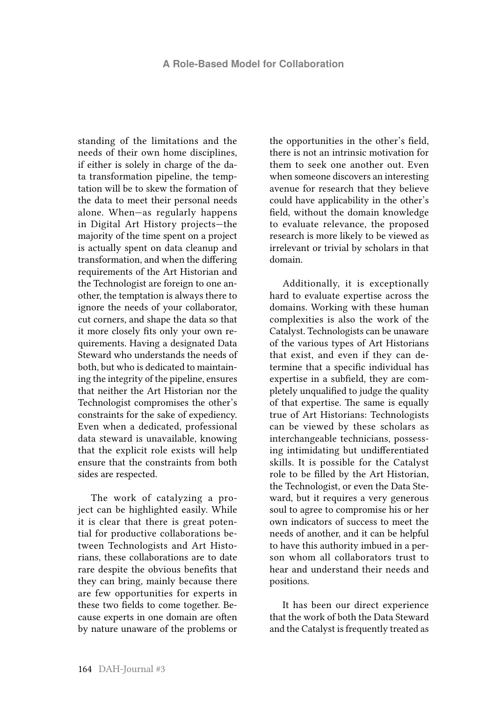standing of the limitations and the needs of their own home disciplines, if either is solely in charge of the data transformation pipeline, the temptation will be to skew the formation of the data to meet their personal needs alone. When—as regularly happens in Digital Art History projects—the majority of the time spent on a project is actually spent on data cleanup and transformation, and when the differing requirements of the Art Historian and the Technologist are foreign to one another, the temptation is always there to ignore the needs of your collaborator, cut corners, and shape the data so that it more closely fits only your own requirements. Having a designated Data Steward who understands the needs of both, but who is dedicated to maintaining the integrity of the pipeline, ensures that neither the Art Historian nor the Technologist compromises the other's constraints for the sake of expediency. Even when a dedicated, professional data steward is unavailable, knowing that the explicit role exists will help ensure that the constraints from both sides are respected.

The work of catalyzing a project can be highlighted easily. While it is clear that there is great potential for productive collaborations between Technologists and Art Historians, these collaborations are to date rare despite the obvious benefits that they can bring, mainly because there are few opportunities for experts in these two fields to come together. Because experts in one domain are often by nature unaware of the problems or the opportunities in the other's field, there is not an intrinsic motivation for them to seek one another out. Even when someone discovers an interesting avenue for research that they believe could have applicability in the other's field, without the domain knowledge to evaluate relevance, the proposed research is more likely to be viewed as irrelevant or trivial by scholars in that domain.

Additionally, it is exceptionally hard to evaluate expertise across the domains. Working with these human complexities is also the work of the Catalyst. Technologists can be unaware of the various types of Art Historians that exist, and even if they can determine that a specific individual has expertise in a subfield, they are completely unqualified to judge the quality of that expertise. The same is equally true of Art Historians: Technologists can be viewed by these scholars as interchangeable technicians, possessing intimidating but undifferentiated skills. It is possible for the Catalyst role to be filled by the Art Historian, the Technologist, or even the Data Steward, but it requires a very generous soul to agree to compromise his or her own indicators of success to meet the needs of another, and it can be helpful to have this authority imbued in a person whom all collaborators trust to hear and understand their needs and positions.

It has been our direct experience that the work of both the Data Steward and the Catalyst is frequently treated as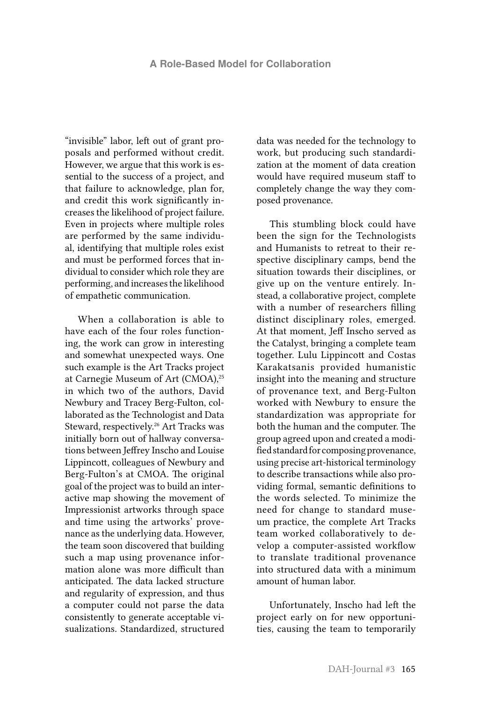"invisible" labor, left out of grant proposals and performed without credit. However, we argue that this work is essential to the success of a project, and that failure to acknowledge, plan for, and credit this work significantly increases the likelihood of project failure. Even in projects where multiple roles are performed by the same individual, identifying that multiple roles exist and must be performed forces that individual to consider which role they are performing, and increases the likelihood of empathetic communication.

When a collaboration is able to have each of the four roles functioning, the work can grow in interesting and somewhat unexpected ways. One such example is the Art Tracks project at Carnegie Museum of Art (CMOA),<sup>25</sup> in which two of the authors, David Newbury and Tracey Berg-Fulton, collaborated as the Technologist and Data Steward, respectively.<sup>26</sup> Art Tracks was initially born out of hallway conversations between Jeffrey Inscho and Louise Lippincott, colleagues of Newbury and Berg-Fulton's at CMOA. The original goal of the project was to build an interactive map showing the movement of Impressionist artworks through space and time using the artworks' provenance as the underlying data. However, the team soon discovered that building such a map using provenance information alone was more difficult than anticipated. The data lacked structure and regularity of expression, and thus a computer could not parse the data consistently to generate acceptable visualizations. Standardized, structured

data was needed for the technology to work, but producing such standardization at the moment of data creation would have required museum staff to completely change the way they composed provenance.

This stumbling block could have been the sign for the Technologists and Humanists to retreat to their respective disciplinary camps, bend the situation towards their disciplines, or give up on the venture entirely. Instead, a collaborative project, complete with a number of researchers filling distinct disciplinary roles, emerged. At that moment, Jeff Inscho served as the Catalyst, bringing a complete team together. Lulu Lippincott and Costas Karakatsanis provided humanistic insight into the meaning and structure of provenance text, and Berg-Fulton worked with Newbury to ensure the standardization was appropriate for both the human and the computer. The group agreed upon and created a modified standard for composing provenance, using precise art-historical terminology to describe transactions while also providing formal, semantic definitions to the words selected. To minimize the need for change to standard museum practice, the complete Art Tracks team worked collaboratively to develop a computer-assisted workflow to translate traditional provenance into structured data with a minimum amount of human labor.

Unfortunately, Inscho had left the project early on for new opportunities, causing the team to temporarily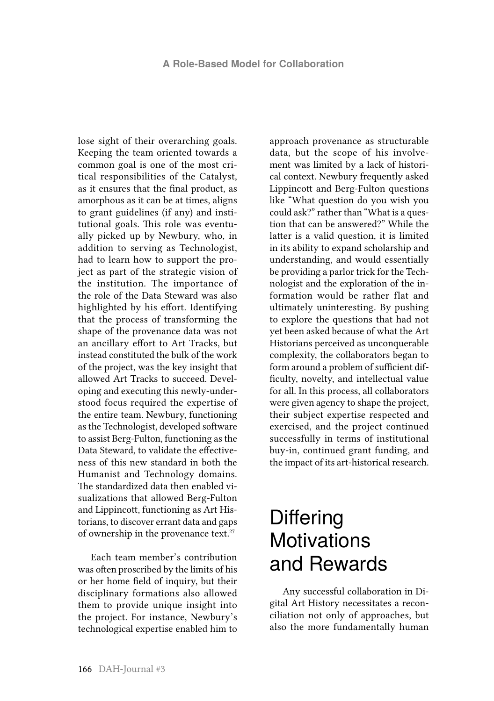lose sight of their overarching goals. Keeping the team oriented towards a common goal is one of the most critical responsibilities of the Catalyst, as it ensures that the final product, as amorphous as it can be at times, aligns to grant guidelines (if any) and institutional goals. This role was eventually picked up by Newbury, who, in addition to serving as Technologist, had to learn how to support the project as part of the strategic vision of the institution. The importance of the role of the Data Steward was also highlighted by his effort. Identifying that the process of transforming the shape of the provenance data was not an ancillary effort to Art Tracks, but instead constituted the bulk of the work of the project, was the key insight that allowed Art Tracks to succeed. Developing and executing this newly-understood focus required the expertise of the entire team. Newbury, functioning as the Technologist, developed software to assist Berg-Fulton, functioning as the Data Steward, to validate the effectiveness of this new standard in both the Humanist and Technology domains. The standardized data then enabled visualizations that allowed Berg-Fulton and Lippincott, functioning as Art Historians, to discover errant data and gaps of ownership in the provenance text.27

Each team member's contribution was often proscribed by the limits of his or her home field of inquiry, but their disciplinary formations also allowed them to provide unique insight into the project. For instance, Newbury's technological expertise enabled him to

approach provenance as structurable data, but the scope of his involvement was limited by a lack of historical context. Newbury frequently asked Lippincott and Berg-Fulton questions like "What question do you wish you could ask?" rather than "What is a question that can be answered?" While the latter is a valid question, it is limited in its ability to expand scholarship and understanding, and would essentially be providing a parlor trick for the Technologist and the exploration of the information would be rather flat and ultimately uninteresting. By pushing to explore the questions that had not yet been asked because of what the Art Historians perceived as unconquerable complexity, the collaborators began to form around a problem of sufficient difficulty, novelty, and intellectual value for all. In this process, all collaborators were given agency to shape the project, their subject expertise respected and exercised, and the project continued successfully in terms of institutional buy-in, continued grant funding, and the impact of its art-historical research.

#### **Differing Motivations** and Rewards

Any successful collaboration in Digital Art History necessitates a reconciliation not only of approaches, but also the more fundamentally human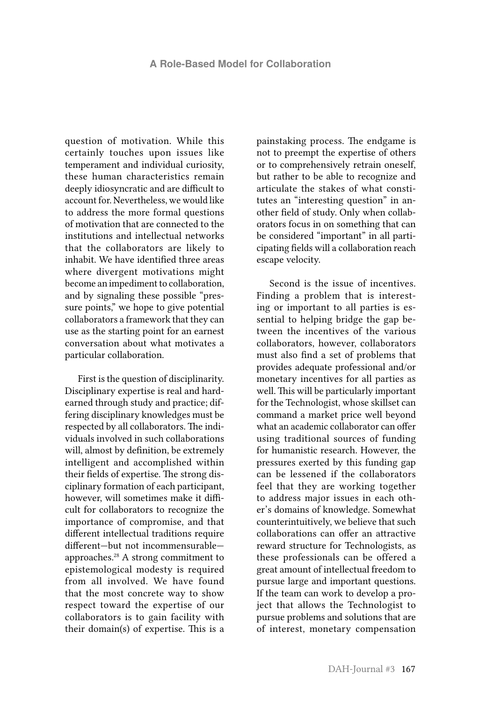question of motivation. While this certainly touches upon issues like temperament and individual curiosity, these human characteristics remain deeply idiosyncratic and are difficult to account for. Nevertheless, we would like to address the more formal questions of motivation that are connected to the institutions and intellectual networks that the collaborators are likely to inhabit. We have identified three areas where divergent motivations might become an impediment to collaboration, and by signaling these possible "pressure points," we hope to give potential collaborators a framework that they can use as the starting point for an earnest conversation about what motivates a particular collaboration.

First is the question of disciplinarity. Disciplinary expertise is real and hardearned through study and practice; differing disciplinary knowledges must be respected by all collaborators. The individuals involved in such collaborations will, almost by definition, be extremely intelligent and accomplished within their fields of expertise. The strong disciplinary formation of each participant, however, will sometimes make it difficult for collaborators to recognize the importance of compromise, and that different intellectual traditions require different—but not incommensurable approaches.28 A strong commitment to epistemological modesty is required from all involved. We have found that the most concrete way to show respect toward the expertise of our collaborators is to gain facility with their domain(s) of expertise. This is a

painstaking process. The endgame is not to preempt the expertise of others or to comprehensively retrain oneself, but rather to be able to recognize and articulate the stakes of what constitutes an "interesting question" in another field of study. Only when collaborators focus in on something that can be considered "important" in all participating fields will a collaboration reach escape velocity.

Second is the issue of incentives. Finding a problem that is interesting or important to all parties is essential to helping bridge the gap between the incentives of the various collaborators, however, collaborators must also find a set of problems that provides adequate professional and/or monetary incentives for all parties as well. This will be particularly important for the Technologist, whose skillset can command a market price well beyond what an academic collaborator can offer using traditional sources of funding for humanistic research. However, the pressures exerted by this funding gap can be lessened if the collaborators feel that they are working together to address major issues in each other's domains of knowledge. Somewhat counterintuitively, we believe that such collaborations can offer an attractive reward structure for Technologists, as these professionals can be offered a great amount of intellectual freedom to pursue large and important questions. If the team can work to develop a project that allows the Technologist to pursue problems and solutions that are of interest, monetary compensation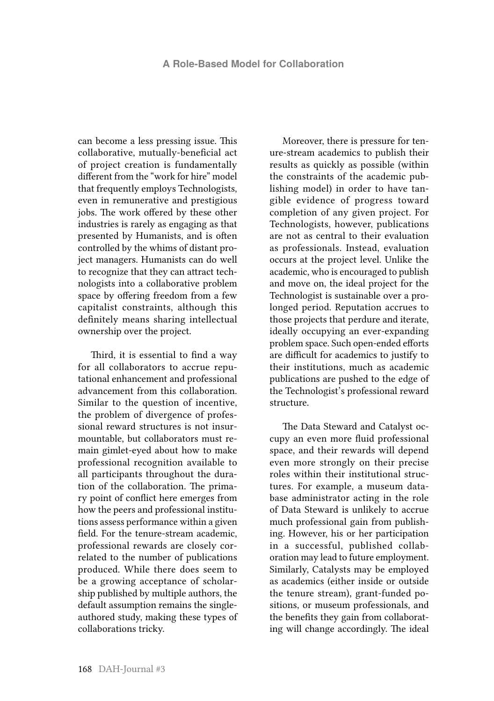can become a less pressing issue. This collaborative, mutually-beneficial act of project creation is fundamentally different from the "work for hire" model that frequently employs Technologists, even in remunerative and prestigious jobs. The work offered by these other industries is rarely as engaging as that presented by Humanists, and is often controlled by the whims of distant project managers. Humanists can do well to recognize that they can attract technologists into a collaborative problem space by offering freedom from a few capitalist constraints, although this definitely means sharing intellectual ownership over the project.

Third, it is essential to find a way for all collaborators to accrue reputational enhancement and professional advancement from this collaboration. Similar to the question of incentive, the problem of divergence of professional reward structures is not insurmountable, but collaborators must remain gimlet-eyed about how to make professional recognition available to all participants throughout the duration of the collaboration. The primary point of conflict here emerges from how the peers and professional institutions assess performance within a given field. For the tenure-stream academic, professional rewards are closely correlated to the number of publications produced. While there does seem to be a growing acceptance of scholarship published by multiple authors, the default assumption remains the singleauthored study, making these types of collaborations tricky.

Moreover, there is pressure for tenure-stream academics to publish their results as quickly as possible (within the constraints of the academic publishing model) in order to have tangible evidence of progress toward completion of any given project. For Technologists, however, publications are not as central to their evaluation as professionals. Instead, evaluation occurs at the project level. Unlike the academic, who is encouraged to publish and move on, the ideal project for the Technologist is sustainable over a prolonged period. Reputation accrues to those projects that perdure and iterate, ideally occupying an ever-expanding problem space. Such open-ended efforts are difficult for academics to justify to their institutions, much as academic publications are pushed to the edge of the Technologist's professional reward structure.

The Data Steward and Catalyst occupy an even more fluid professional space, and their rewards will depend even more strongly on their precise roles within their institutional structures. For example, a museum database administrator acting in the role of Data Steward is unlikely to accrue much professional gain from publishing. However, his or her participation in a successful, published collaboration may lead to future employment. Similarly, Catalysts may be employed as academics (either inside or outside the tenure stream), grant-funded positions, or museum professionals, and the benefits they gain from collaborating will change accordingly. The ideal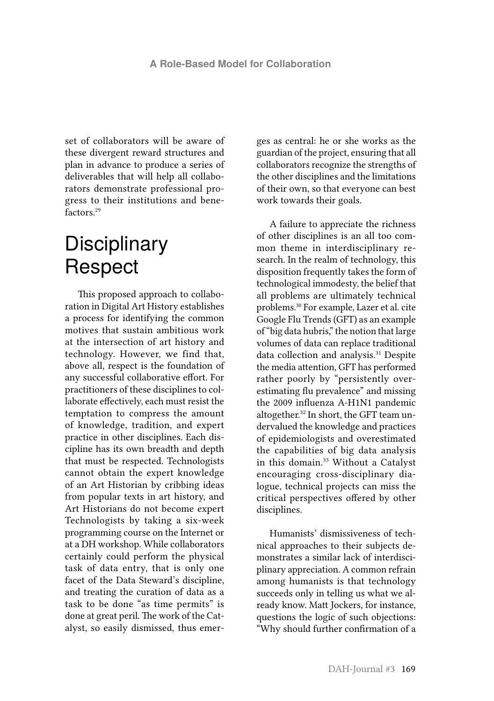set of collaborators will be aware of these divergent reward structures and plan in advance to produce a series of deliverables that will help all collaborators demonstrate professional progress to their institutions and benefactors.29

#### **Disciplinary** Respect

This proposed approach to collaboration in Digital Art History establishes a process for identifying the common motives that sustain ambitious work at the intersection of art history and technology. However, we find that, above all, respect is the foundation of any successful collaborative effort. For practitioners of these disciplines to collaborate effectively, each must resist the temptation to compress the amount of knowledge, tradition, and expert practice in other disciplines. Each discipline has its own breadth and depth that must be respected. Technologists cannot obtain the expert knowledge of an Art Historian by cribbing ideas from popular texts in art history, and Art Historians do not become expert Technologists by taking a six-week programming course on the Internet or at a DH workshop. While collaborators certainly could perform the physical task of data entry, that is only one facet of the Data Steward's discipline, and treating the curation of data as a task to be done "as time permits" is done at great peril. The work of the Catalyst, so easily dismissed, thus emerges as central: he or she works as the guardian of the project, ensuring that all collaborators recognize the strengths of the other disciplines and the limitations of their own, so that everyone can best work towards their goals.

A failure to appreciate the richness of other disciplines is an all too common theme in interdisciplinary research. In the realm of technology, this disposition frequently takes the form of technological immodesty, the belief that all problems are ultimately technical problems.30 For example, Lazer et al. cite Google Flu Trends (GFT) as an example of "big data hubris," the notion that large volumes of data can replace traditional data collection and analysis.<sup>31</sup> Despite the media attention, GFT has performed rather poorly by "persistently overestimating flu prevalence" and missing the 2009 influenza A-H1N1 pandemic altogether.<sup>32</sup> In short, the GFT team undervalued the knowledge and practices of epidemiologists and overestimated the capabilities of big data analysis in this domain.<sup>33</sup> Without a Catalyst encouraging cross-disciplinary dialogue, technical projects can miss the critical perspectives offered by other disciplines.

Humanists' dismissiveness of technical approaches to their subjects demonstrates a similar lack of interdisciplinary appreciation. A common refrain among humanists is that technology succeeds only in telling us what we already know. Matt Jockers, for instance, questions the logic of such objections: "Why should further confirmation of a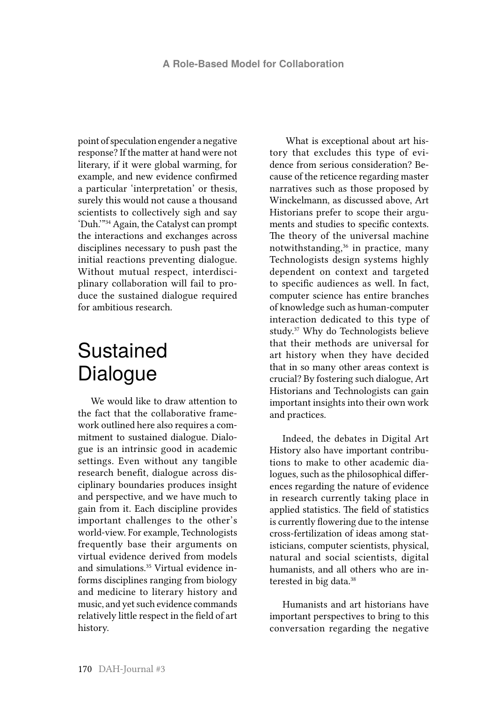point of speculation engender a negative response? If the matter at hand were not literary, if it were global warming, for example, and new evidence confirmed a particular 'interpretation' or thesis, surely this would not cause a thousand scientists to collectively sigh and say 'Duh.'"34 Again, the Catalyst can prompt the interactions and exchanges across disciplines necessary to push past the initial reactions preventing dialogue. Without mutual respect, interdisciplinary collaboration will fail to produce the sustained dialogue required for ambitious research.

### Sustained Dialogue

We would like to draw attention to the fact that the collaborative framework outlined here also requires a commitment to sustained dialogue. Dialogue is an intrinsic good in academic settings. Even without any tangible research benefit, dialogue across disciplinary boundaries produces insight and perspective, and we have much to gain from it. Each discipline provides important challenges to the other's world-view. For example, Technologists frequently base their arguments on virtual evidence derived from models and simulations.35 Virtual evidence informs disciplines ranging from biology and medicine to literary history and music, and yet such evidence commands relatively little respect in the field of art history.

 What is exceptional about art history that excludes this type of evidence from serious consideration? Because of the reticence regarding master narratives such as those proposed by Winckelmann, as discussed above, Art Historians prefer to scope their arguments and studies to specific contexts. The theory of the universal machine notwithstanding,36 in practice, many Technologists design systems highly dependent on context and targeted to specific audiences as well. In fact, computer science has entire branches of knowledge such as human-computer interaction dedicated to this type of study.37 Why do Technologists believe that their methods are universal for art history when they have decided that in so many other areas context is crucial? By fostering such dialogue, Art Historians and Technologists can gain important insights into their own work and practices.

Indeed, the debates in Digital Art History also have important contributions to make to other academic dialogues, such as the philosophical differences regarding the nature of evidence in research currently taking place in applied statistics. The field of statistics is currently flowering due to the intense cross-fertilization of ideas among statisticians, computer scientists, physical, natural and social scientists, digital humanists, and all others who are interested in big data.<sup>38</sup>

Humanists and art historians have important perspectives to bring to this conversation regarding the negative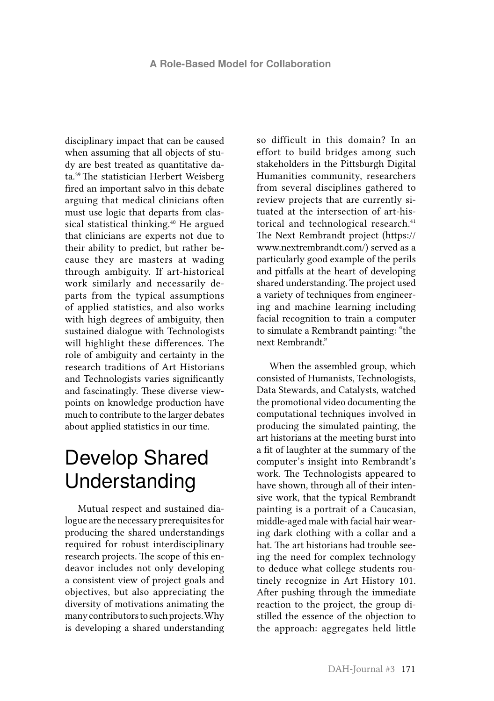disciplinary impact that can be caused when assuming that all objects of study are best treated as quantitative data.39 The statistician Herbert Weisberg fired an important salvo in this debate arguing that medical clinicians often must use logic that departs from classical statistical thinking.<sup>40</sup> He argued that clinicians are experts not due to their ability to predict, but rather because they are masters at wading through ambiguity. If art-historical work similarly and necessarily departs from the typical assumptions of applied statistics, and also works with high degrees of ambiguity, then sustained dialogue with Technologists will highlight these differences. The role of ambiguity and certainty in the research traditions of Art Historians and Technologists varies significantly and fascinatingly. These diverse viewpoints on knowledge production have much to contribute to the larger debates about applied statistics in our time.

#### Develop Shared Understanding

Mutual respect and sustained dialogue are the necessary prerequisites for producing the shared understandings required for robust interdisciplinary research projects. The scope of this endeavor includes not only developing a consistent view of project goals and objectives, but also appreciating the diversity of motivations animating the many contributors to such projects. Why is developing a shared understanding

so difficult in this domain? In an effort to build bridges among such stakeholders in the Pittsburgh Digital Humanities community, researchers from several disciplines gathered to review projects that are currently situated at the intersection of art-historical and technological research.<sup>41</sup> The Next Rembrandt project (https:// www.nextrembrandt.com/) served as a particularly good example of the perils and pitfalls at the heart of developing shared understanding. The project used a variety of techniques from engineering and machine learning including facial recognition to train a computer to simulate a Rembrandt painting: "the next Rembrandt."

When the assembled group, which consisted of Humanists, Technologists, Data Stewards, and Catalysts, watched the promotional video documenting the computational techniques involved in producing the simulated painting, the art historians at the meeting burst into a fit of laughter at the summary of the computer's insight into Rembrandt's work. The Technologists appeared to have shown, through all of their intensive work, that the typical Rembrandt painting is a portrait of a Caucasian, middle-aged male with facial hair wearing dark clothing with a collar and a hat. The art historians had trouble seeing the need for complex technology to deduce what college students routinely recognize in Art History 101. After pushing through the immediate reaction to the project, the group distilled the essence of the objection to the approach: aggregates held little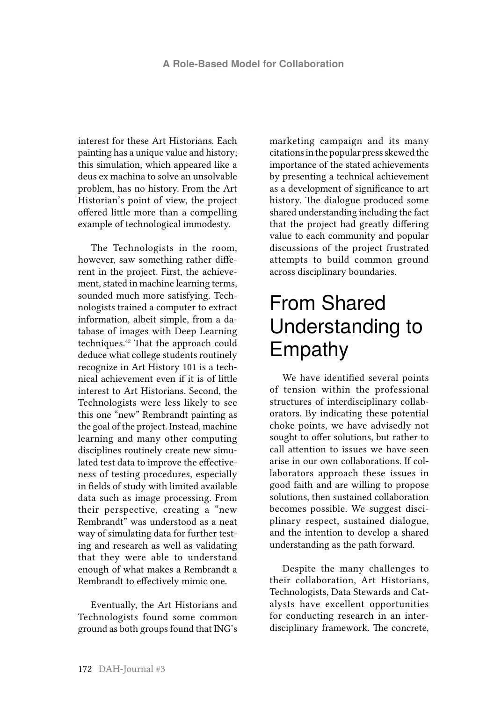interest for these Art Historians. Each painting has a unique value and history; this simulation, which appeared like a deus ex machina to solve an unsolvable problem, has no history. From the Art Historian's point of view, the project offered little more than a compelling example of technological immodesty.

The Technologists in the room, however, saw something rather different in the project. First, the achievement, stated in machine learning terms, sounded much more satisfying. Technologists trained a computer to extract information, albeit simple, from a database of images with Deep Learning techniques.42 That the approach could deduce what college students routinely recognize in Art History 101 is a technical achievement even if it is of little interest to Art Historians. Second, the Technologists were less likely to see this one "new" Rembrandt painting as the goal of the project. Instead, machine learning and many other computing disciplines routinely create new simulated test data to improve the effectiveness of testing procedures, especially in fields of study with limited available data such as image processing. From their perspective, creating a "new Rembrandt" was understood as a neat way of simulating data for further testing and research as well as validating that they were able to understand enough of what makes a Rembrandt a Rembrandt to effectively mimic one.

Eventually, the Art Historians and Technologists found some common ground as both groups found that ING's marketing campaign and its many citations in the popular press skewed the importance of the stated achievements by presenting a technical achievement as a development of significance to art history. The dialogue produced some shared understanding including the fact that the project had greatly differing value to each community and popular discussions of the project frustrated attempts to build common ground across disciplinary boundaries.

# From Shared Understanding to Empathy

We have identified several points of tension within the professional structures of interdisciplinary collaborators. By indicating these potential choke points, we have advisedly not sought to offer solutions, but rather to call attention to issues we have seen arise in our own collaborations. If collaborators approach these issues in good faith and are willing to propose solutions, then sustained collaboration becomes possible. We suggest disciplinary respect, sustained dialogue, and the intention to develop a shared understanding as the path forward.

Despite the many challenges to their collaboration, Art Historians, Technologists, Data Stewards and Catalysts have excellent opportunities for conducting research in an interdisciplinary framework. The concrete,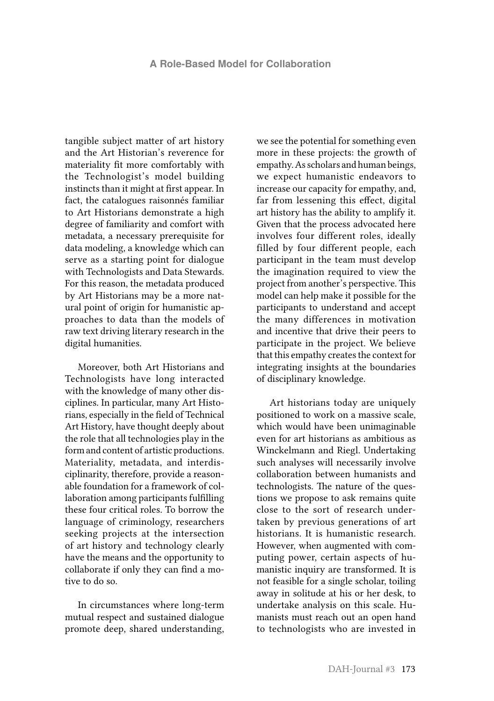tangible subject matter of art history and the Art Historian's reverence for materiality fit more comfortably with the Technologist's model building instincts than it might at first appear. In fact, the catalogues raisonnés familiar to Art Historians demonstrate a high degree of familiarity and comfort with metadata, a necessary prerequisite for data modeling, a knowledge which can serve as a starting point for dialogue with Technologists and Data Stewards. For this reason, the metadata produced by Art Historians may be a more natural point of origin for humanistic approaches to data than the models of raw text driving literary research in the digital humanities.

Moreover, both Art Historians and Technologists have long interacted with the knowledge of many other disciplines. In particular, many Art Historians, especially in the field of Technical Art History, have thought deeply about the role that all technologies play in the form and content of artistic productions. Materiality, metadata, and interdisciplinarity, therefore, provide a reasonable foundation for a framework of collaboration among participants fulfilling these four critical roles. To borrow the language of criminology, researchers seeking projects at the intersection of art history and technology clearly have the means and the opportunity to collaborate if only they can find a motive to do so.

In circumstances where long-term mutual respect and sustained dialogue promote deep, shared understanding,

we see the potential for something even more in these projects: the growth of empathy. As scholars and human beings, we expect humanistic endeavors to increase our capacity for empathy, and, far from lessening this effect, digital art history has the ability to amplify it. Given that the process advocated here involves four different roles, ideally filled by four different people, each participant in the team must develop the imagination required to view the project from another's perspective. This model can help make it possible for the participants to understand and accept the many differences in motivation and incentive that drive their peers to participate in the project. We believe that this empathy creates the context for integrating insights at the boundaries of disciplinary knowledge.

Art historians today are uniquely positioned to work on a massive scale, which would have been unimaginable even for art historians as ambitious as Winckelmann and Riegl. Undertaking such analyses will necessarily involve collaboration between humanists and technologists. The nature of the questions we propose to ask remains quite close to the sort of research undertaken by previous generations of art historians. It is humanistic research. However, when augmented with computing power, certain aspects of humanistic inquiry are transformed. It is not feasible for a single scholar, toiling away in solitude at his or her desk, to undertake analysis on this scale. Humanists must reach out an open hand to technologists who are invested in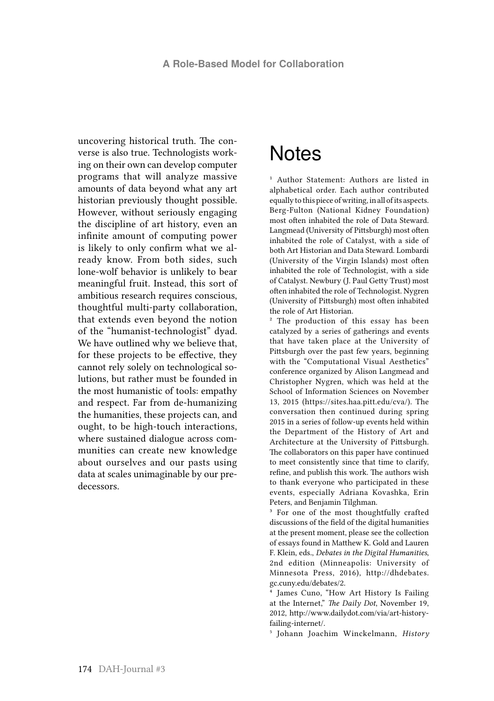uncovering historical truth. The converse is also true. Technologists working on their own can develop computer programs that will analyze massive amounts of data beyond what any art historian previously thought possible. However, without seriously engaging the discipline of art history, even an infinite amount of computing power is likely to only confirm what we already know. From both sides, such lone-wolf behavior is unlikely to bear meaningful fruit. Instead, this sort of ambitious research requires conscious, thoughtful multi-party collaboration, that extends even beyond the notion of the "humanist-technologist" dyad. We have outlined why we believe that, for these projects to be effective, they cannot rely solely on technological solutions, but rather must be founded in the most humanistic of tools: empathy and respect. Far from de-humanizing the humanities, these projects can, and ought, to be high-touch interactions, where sustained dialogue across communities can create new knowledge about ourselves and our pasts using data at scales unimaginable by our predecessors.

#### **Notes**

<sup>1</sup> Author Statement: Authors are listed in alphabetical order. Each author contributed equally to this piece of writing, in all of its aspects. Berg-Fulton (National Kidney Foundation) most often inhabited the role of Data Steward. Langmead (University of Pittsburgh) most often inhabited the role of Catalyst, with a side of both Art Historian and Data Steward. Lombardi (University of the Virgin Islands) most often inhabited the role of Technologist, with a side of Catalyst. Newbury (J. Paul Getty Trust) most often inhabited the role of Technologist. Nygren (University of Pittsburgh) most often inhabited the role of Art Historian.

2 The production of this essay has been catalyzed by a series of gatherings and events that have taken place at the University of Pittsburgh over the past few years, beginning with the "Computational Visual Aesthetics" conference organized by Alison Langmead and Christopher Nygren, which was held at the School of Information Sciences on November 13, 2015 (https://sites.haa.pitt.edu/cva/). The conversation then continued during spring 2015 in a series of follow-up events held within the Department of the History of Art and Architecture at the University of Pittsburgh. The collaborators on this paper have continued to meet consistently since that time to clarify, refine, and publish this work. The authors wish to thank everyone who participated in these events, especially Adriana Kovashka, Erin Peters, and Benjamin Tilghman.

<sup>3</sup> For one of the most thoughtfully crafted discussions of the field of the digital humanities at the present moment, please see the collection of essays found in Matthew K. Gold and Lauren F. Klein, eds., *Debates in the Digital Humanities*, 2nd edition (Minneapolis: University of Minnesota Press, 2016), http://dhdebates. gc.cuny.edu/debates/2.

4 James Cuno, "How Art History Is Failing at the Internet," *The Daily Dot*, November 19, 2012, http://www.dailydot.com/via/art-historyfailing-internet/.

5 Johann Joachim Winckelmann, *History*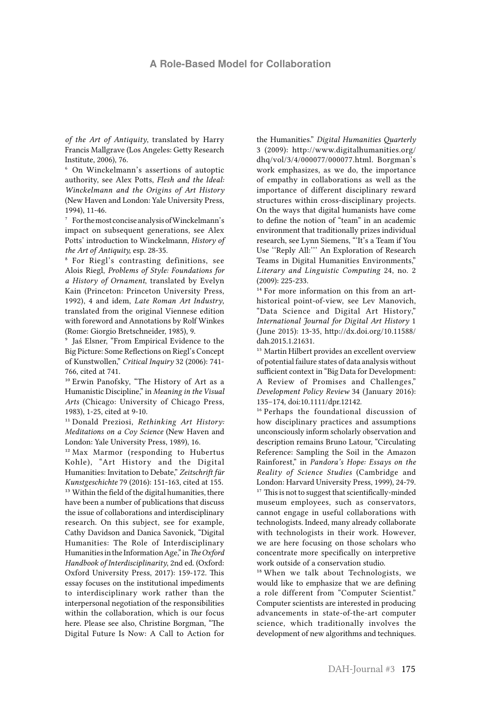#### **A Role-Based Model for Collaboration**

*of the Art of Antiquity*, translated by Harry Francis Mallgrave (Los Angeles: Getty Research Institute, 2006), 76.

6 On Winckelmann's assertions of autoptic authority, see Alex Potts, *Flesh and the Ideal: Winckelmann and the Origins of Art History*  (New Haven and London: Yale University Press, 1994), 11-46.

7 For the most concise analysis of Winckelmann's impact on subsequent generations, see Alex Potts' introduction to Winckelmann, *History of the Art of Antiquity,* esp. 28-35.

8 For Riegl's contrasting definitions, see Alois Riegl, *Problems of Style: Foundations for a History of Ornament*, translated by Evelyn Kain (Princeton: Princeton University Press, 1992), 4 and idem, *Late Roman Art Industry*, translated from the original Viennese edition with foreword and Annotations by Rolf Winkes (Rome: Giorgio Bretschneider, 1985), 9.

9 Jaś Elsner, "From Empirical Evidence to the Big Picture: Some Reflections on Riegl's Concept of Kunstwollen," *Critical Inquiry* 32 (2006): 741- 766, cited at 741.

10 Erwin Panofsky, "The History of Art as a Humanistic Discipline," in *Meaning in the Visual Arts* (Chicago: University of Chicago Press, 1983), 1-25, cited at 9-10.

11 Donald Preziosi, *Rethinking Art History: Meditations on a Coy Science* (New Haven and London: Yale University Press, 1989), 16.

12 Max Marmor (responding to Hubertus Kohle), "Art History and the Digital Humanities: Invitation to Debate," *Zeitschrift für Kunstgeschichte* 79 (2016): 151-163, cited at 155. <sup>13</sup> Within the field of the digital humanities, there have been a number of publications that discuss the issue of collaborations and interdisciplinary research. On this subject, see for example, Cathy Davidson and Danica Savonick, "Digital Humanities: The Role of Interdisciplinary Humanities in the Information Age," in *The Oxford Handbook of Interdisciplinarity*, 2nd ed. (Oxford: Oxford University Press, 2017): 159-172. This essay focuses on the institutional impediments to interdisciplinary work rather than the interpersonal negotiation of the responsibilities within the collaboration, which is our focus here. Please see also, Christine Borgman, "The Digital Future Is Now: A Call to Action for

the Humanities." *Digital Humanities Quarterly*  3 (2009): http://www.digitalhumanities.org/ dhq/vol/3/4/000077/000077.html. Borgman's work emphasizes, as we do, the importance of empathy in collaborations as well as the importance of different disciplinary reward structures within cross-disciplinary projects. On the ways that digital humanists have come to define the notion of "team" in an academic environment that traditionally prizes individual research, see Lynn Siemens, "'It's a Team if You Use ''Reply All:''' An Exploration of Research Teams in Digital Humanities Environments," *Literary and Linguistic Computing* 24, no. 2 (2009): 225-233.

<sup>14</sup> For more information on this from an arthistorical point-of-view, see Lev Manovich, "Data Science and Digital Art History," *International Journal for Digital Art History* 1 (June 2015): 13-35, http://dx.doi.org/10.11588/ dah.2015.1.21631.

<sup>15</sup> Martin Hilbert provides an excellent overview of potential failure states of data analysis without sufficient context in "Big Data for Development: A Review of Promises and Challenges," *Development Policy Review* 34 (January 2016): 135–174, doi:10.1111/dpr.12142.

16 Perhaps the foundational discussion of how disciplinary practices and assumptions unconsciously inform scholarly observation and description remains Bruno Latour, "Circulating Reference: Sampling the Soil in the Amazon Rainforest," in *Pandora's Hope: Essays on the Reality of Science Studies* (Cambridge and London: Harvard University Press, 1999), 24-79. <sup>17</sup> This is not to suggest that scientifically-minded museum employees, such as conservators, cannot engage in useful collaborations with technologists. Indeed, many already collaborate with technologists in their work. However, we are here focusing on those scholars who concentrate more specifically on interpretive work outside of a conservation studio.

18 When we talk about Technologists, we would like to emphasize that we are defining a role different from "Computer Scientist." Computer scientists are interested in producing advancements in state-of-the-art computer science, which traditionally involves the development of new algorithms and techniques.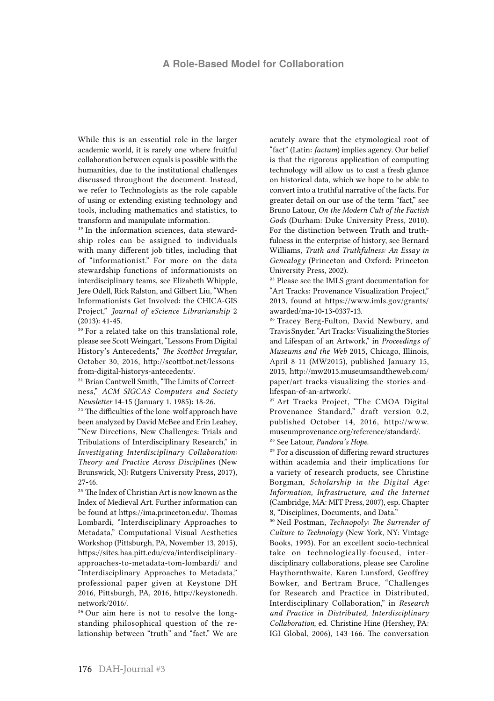#### **A Role-Based Model for Collaboration**

While this is an essential role in the larger academic world, it is rarely one where fruitful collaboration between equals is possible with the humanities, due to the institutional challenges discussed throughout the document. Instead, we refer to Technologists as the role capable of using or extending existing technology and tools, including mathematics and statistics, to transform and manipulate information.

19 In the information sciences, data stewardship roles can be assigned to individuals with many different job titles, including that of "informationist." For more on the data stewardship functions of informationists on interdisciplinary teams, see Elizabeth Whipple, Jere Odell, Rick Ralston, and Gilbert Liu, "When Informationists Get Involved: the CHICA-GIS Project," *Journal of eScience Librarianship* 2 (2013): 41-45.

20 For a related take on this translational role, please see Scott Weingart, "Lessons From Digital History's Antecedents," *The Scottbot Irregular*, October 30, 2016, http://scottbot.net/lessonsfrom-digital-historys-antecedents/.

21 Brian Cantwell Smith, "The Limits of Correctness," *ACM SIGCAS Computers and Society Newsletter* 14-15 (January 1, 1985): 18-26.

<sup>22</sup> The difficulties of the lone-wolf approach have been analyzed by David McBee and Erin Leahey, "New Directions, New Challenges: Trials and Tribulations of Interdisciplinary Research," in *Investigating Interdisciplinary Collaboration: Theory and Practice Across Disciplines* (New Brunswick, NJ: Rutgers University Press, 2017), 27-46.

23 The Index of Christian Art is now known as the Index of Medieval Art. Further information can be found at https://ima.princeton.edu/. Thomas Lombardi, "Interdisciplinary Approaches to Metadata," Computational Visual Aesthetics Workshop (Pittsburgh, PA, November 13, 2015), https://sites.haa.pitt.edu/cva/interdisciplinaryapproaches-to-metadata-tom-lombardi/ and "Interdisciplinary Approaches to Metadata," professional paper given at Keystone DH 2016, Pittsburgh, PA, 2016, http://keystonedh. network/2016/.

24 Our aim here is not to resolve the longstanding philosophical question of the relationship between "truth" and "fact." We are acutely aware that the etymological root of "fact" (Latin: *factum*) implies agency. Our belief is that the rigorous application of computing technology will allow us to cast a fresh glance on historical data, which we hope to be able to convert into a truthful narrative of the facts. For greater detail on our use of the term "fact," see Bruno Latour, *On the Modern Cult of the Factish Gods* (Durham: Duke University Press, 2010). For the distinction between Truth and truthfulness in the enterprise of history, see Bernard Williams, *Truth and Truthfulness: An Essay in Genealogy* (Princeton and Oxford: Princeton University Press, 2002).

25 Please see the IMLS grant documentation for "Art Tracks: Provenance Visualization Project," 2013, found at https://www.imls.gov/grants/ awarded/ma-10-13-0337-13.

<sup>26</sup> Tracey Berg-Fulton, David Newbury, and Travis Snyder. "Art Tracks: Visualizing the Stories and Lifespan of an Artwork," in *Proceedings of Museums and the Web* 2015, Chicago, Illinois, April 8-11 (MW2015), published January 15, 2015, http://mw2015.museumsandtheweb.com/ paper/art-tracks-visualizing-the-stories-andlifespan-of-an-artwork/.

27 Art Tracks Project, "The CMOA Digital Provenance Standard," draft version 0.2, published October 14, 2016, http://www. museumprovenance.org/reference/standard/.

28 See Latour, *Pandora's Hope*.

29 For a discussion of differing reward structures within academia and their implications for a variety of research products, see Christine Borgman, *Scholarship in the Digital Age: Information, Infrastructure, and the Internet*  (Cambridge, MA: MIT Press, 2007), esp. Chapter 8, "Disciplines, Documents, and Data."

30 Neil Postman, *Technopoly: The Surrender of Culture to Technology* (New York, NY: Vintage Books, 1993). For an excellent socio-technical take on technologically-focused, interdisciplinary collaborations, please see Caroline Haythornthwaite, Karen Lunsford, Geoffrey Bowker, and Bertram Bruce, "Challenges for Research and Practice in Distributed, Interdisciplinary Collaboration," in *Research and Practice in Distributed, Interdisciplinary Collaboration*, ed. Christine Hine (Hershey, PA: IGI Global, 2006), 143-166. The conversation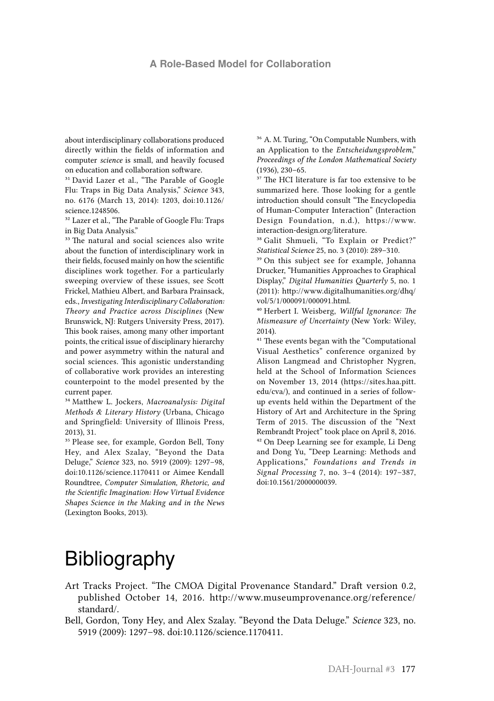about interdisciplinary collaborations produced directly within the fields of information and computer *science* is small, and heavily focused on education and collaboration software.

<sup>31</sup> David Lazer et al., "The Parable of Google Flu: Traps in Big Data Analysis," *Science* 343, no. 6176 (March 13, 2014): 1203, doi:10.1126/ science.1248506.

<sup>32</sup> Lazer et al., "The Parable of Google Flu: Traps in Big Data Analysis."

<sup>33</sup> The natural and social sciences also write about the function of interdisciplinary work in their fields, focused mainly on how the scientific disciplines work together. For a particularly sweeping overview of these issues, see Scott Frickel, Mathieu Albert, and Barbara Prainsack, eds., *Investigating Interdisciplinary Collaboration: Theory and Practice across Disciplines*  (New Brunswick, NJ: Rutgers University Press, 2017). This book raises, among many other important points, the critical issue of disciplinary hierarchy and power asymmetry within the natural and social sciences. This agonistic understanding of collaborative work provides an interesting counterpoint to the model presented by the current paper.

34 Matthew L. Jockers, *Macroanalysis: Digital Methods & Literary History* (Urbana, Chicago and Springfield: University of Illinois Press, 2013), 31.

<sup>35</sup> Please see, for example, Gordon Bell, Tony Hey, and Alex Szalay, "Beyond the Data Deluge," *Science* 323, no. 5919 (2009): 1297–98, doi:10.1126/science.1170411 or Aimee Kendall Roundtree, *Computer Simulation, Rhetoric, and the Scientific Imagination: How Virtual Evidence Shapes Science in the Making and in the News* (Lexington Books, 2013).

36 A. M. Turing, "On Computable Numbers, with an Application to the *Entscheidungsproblem*," *Proceedings of the London Mathematical Society*  (1936), 230–65.

<sup>37</sup> The HCI literature is far too extensive to be summarized here. Those looking for a gentle introduction should consult "The Encyclopedia of Human-Computer Interaction" (Interaction Design Foundation, n.d.), https://www. interaction-design.org/literature.

38 Galit Shmueli, "To Explain or Predict?" *Statistical Science* 25, no. 3 (2010): 289–310.

<sup>39</sup> On this subject see for example, Johanna Drucker, "Humanities Approaches to Graphical Display," *Digital Humanities Quarterly* 5, no. 1 (2011): http://www.digitalhumanities.org/dhq/ vol/5/1/000091/000091.html.

40 Herbert I. Weisberg, *Willful Ignorance: The Mismeasure of Uncertainty* (New York: Wiley, 2014).

41 These events began with the "Computational Visual Aesthetics" conference organized by Alison Langmead and Christopher Nygren, held at the School of Information Sciences on November 13, 2014 (https://sites.haa.pitt. edu/cva/), and continued in a series of followup events held within the Department of the History of Art and Architecture in the Spring Term of 2015. The discussion of the "Next Rembrandt Project" took place on April 8, 2016. 42 On Deep Learning see for example, Li Deng and Dong Yu, "Deep Learning: Methods and Applications," *Foundations and Trends in Signal Processing* 7, no. 3–4 (2014): 197–387, doi:10.1561/2000000039.

#### Bibliography

- Art Tracks Project. "The CMOA Digital Provenance Standard." Draft version 0.2, published October 14, 2016. [http://www.museumprovenance.org/reference/](http://www.museumprovenance.org/reference/standard/) [standard/](http://www.museumprovenance.org/reference/standard/).
- Bell, Gordon, Tony Hey, and Alex Szalay. "Beyond the Data Deluge." *Science* 323, no. 5919 (2009): 1297–98. doi:10.1126/science.1170411.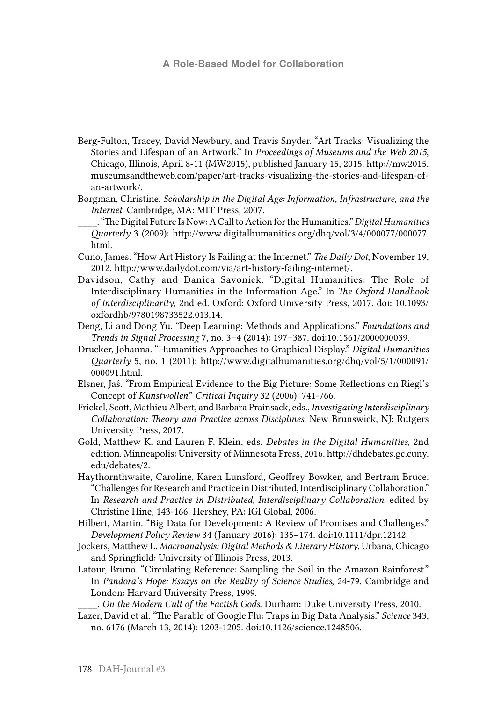#### **A Role-Based Model for Collaboration**

- Berg-Fulton, Tracey, David Newbury, and Travis Snyder. "Art Tracks: Visualizing the Stories and Lifespan of an Artwork." In *Proceedings of Museums and the Web 2015*, Chicago, Illinois, April 8-11 (MW2015), published January 15, 2015. [http://mw2015.](http://mw2015.museumsandtheweb.com/paper/art-tracks-visualizing-the-stories-and-lifespan-of-an-artwork/) [museumsandtheweb.com/paper/art-tracks-visualizing-the-stories-and-lifespan-of](http://mw2015.museumsandtheweb.com/paper/art-tracks-visualizing-the-stories-and-lifespan-of-an-artwork/)[an-artwork/](http://mw2015.museumsandtheweb.com/paper/art-tracks-visualizing-the-stories-and-lifespan-of-an-artwork/).
- Borgman, Christine. *Scholarship in the Digital Age: Information, Infrastructure, and the Internet*. Cambridge, MA: MIT Press, 2007.
- \_\_\_\_. "The Digital Future Is Now: A Call to Action for the Humanities." *Digital Humanities Quarterly* 3 (2009): [http://www.digitalhumanities.org/dhq/vol/3/4/000077/000077.](http://www.digitalhumanities.org/dhq/vol/3/4/000077/000077.html) [html](http://www.digitalhumanities.org/dhq/vol/3/4/000077/000077.html).
- Cuno, James. "How Art History Is Failing at the Internet." *The Daily Dot*, November 19, 2012. <http://www.dailydot.com/via/art-history-failing-internet/>.
- Davidson, Cathy and Danica Savonick. "Digital Humanities: The Role of Interdisciplinary Humanities in the Information Age." In *The Oxford Handbook of Interdisciplinarity*, 2nd ed. Oxford: Oxford University Press, 2017. doi: 10.1093/ oxfordhb/9780198733522.013.14.
- Deng, Li and Dong Yu. "Deep Learning: Methods and Applications." *Foundations and Trends in Signal Processing* 7, no. 3–4 (2014): 197–387. doi:10.1561/2000000039.
- Drucker, Johanna. "Humanities Approaches to Graphical Display." *Digital Humanities Quarterly* 5, no. 1 (2011): [http://www.digitalhumanities.org/dhq/vol/5/1/000091/](http://www.digitalhumanities.org/dhq/vol/5/1/000091/000091.html)  [000091.html](http://www.digitalhumanities.org/dhq/vol/5/1/000091/000091.html).
- Elsner, Jaś. "From Empirical Evidence to the Big Picture: Some Reflections on Riegl's Concept of *Kunstwollen*." *Critical Inquiry* 32 (2006): 741-766.
- Frickel, Scott, Mathieu Albert, and Barbara Prainsack, eds., *Investigating Interdisciplinary Collaboration: Theory and Practice across Disciplines*. New Brunswick, NJ: Rutgers University Press, 2017.
- Gold, Matthew K. and Lauren F. Klein, eds. *Debates in the Digital Humanities*, 2nd edition. Minneapolis: University of Minnesota Press, 2016. [http://dhdebates.gc.cuny.](http://dhdebates.gc.cuny.edu/debates/2) [edu/debates/2](http://dhdebates.gc.cuny.edu/debates/2).
- Haythornthwaite, Caroline, Karen Lunsford, Geoffrey Bowker, and Bertram Bruce. "Challenges for Research and Practice in Distributed, Interdisciplinary Collaboration." In *Research and Practice in Distributed, Interdisciplinary Collaboration*, edited by Christine Hine, 143-166. Hershey, PA: IGI Global, 2006.
- Hilbert, Martin. "Big Data for Development: A Review of Promises and Challenges." *Development Policy Review* 34 (January 2016): 135–174. doi:10.1111/dpr.12142.
- Jockers, Matthew L. *Macroanalysis: Digital Methods & Literary History*. Urbana, Chicago and Springfield: University of Illinois Press, 2013.
- Latour, Bruno. "Circulating Reference: Sampling the Soil in the Amazon Rainforest." In *Pandora's Hope: Essays on the Reality of Science Studies*, 24-79. Cambridge and London: Harvard University Press, 1999.

\_\_\_\_. *On the Modern Cult of the Factish Gods*. Durham: Duke University Press, 2010.

Lazer, David et al. "The Parable of Google Flu: Traps in Big Data Analysis." *Science* 343, no. 6176 (March 13, 2014): 1203-1205. doi:10.1126/science.1248506.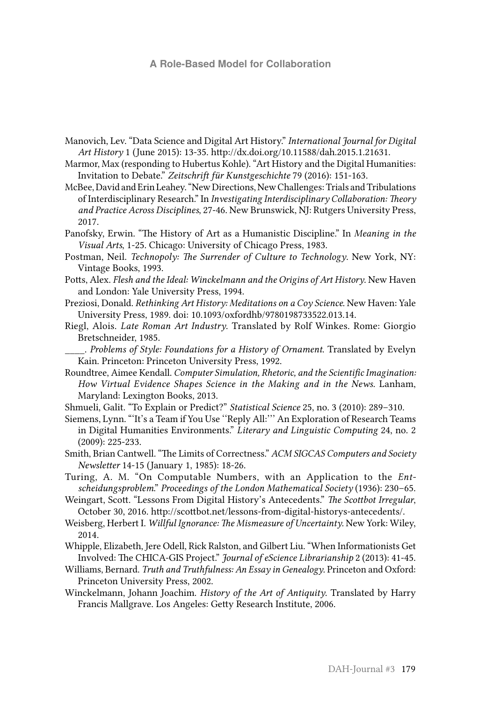#### **A Role-Based Model for Collaboration**

- Manovich, Lev. "Data Science and Digital Art History." *International Journal for Digital Art History* 1 (June 2015): 13-35. http://dx.doi.org/10.11588/dah.2015.1.21631.
- Marmor, Max (responding to Hubertus Kohle). "Art History and the Digital Humanities: Invitation to Debate." *Zeitschrift für Kunstgeschichte* 79 (2016): 151-163.
- McBee, David and Erin Leahey. "New Directions, New Challenges: Trials and Tribulations of Interdisciplinary Research." In *Investigating Interdisciplinary Collaboration: Theory and Practice Across Disciplines*, 27-46. New Brunswick, NJ: Rutgers University Press, 2017.
- Panofsky, Erwin. "The History of Art as a Humanistic Discipline." In *Meaning in the Visual Arts*, 1-25. Chicago: University of Chicago Press, 1983.
- Postman, Neil. *Technopoly: The Surrender of Culture to Technology*. New York, NY: Vintage Books, 1993.
- Potts, Alex. *Flesh and the Ideal: Winckelmann and the Origins of Art History*. New Haven and London: Yale University Press, 1994.
- Preziosi, Donald. *Rethinking Art History: Meditations on a Coy Science*. New Haven: Yale University Press, 1989. doi: 10.1093/oxfordhb/9780198733522.013.14.
- Riegl, Alois. *Late Roman Art Industry*. Translated by Rolf Winkes. Rome: Giorgio Bretschneider, 1985.
- \_\_\_\_. *Problems of Style: Foundations for a History of Ornament*. Translated by Evelyn Kain. Princeton: Princeton University Press, 1992.
- Roundtree, Aimee Kendall. *Computer Simulation, Rhetoric, and the Scientific Imagination: How Virtual Evidence Shapes Science in the Making and in the News*. Lanham, Maryland: Lexington Books, 2013.
- Shmueli, Galit. "To Explain or Predict?" *Statistical Science* 25, no. 3 (2010): 289–310.
- Siemens, Lynn. "'It's a Team if You Use ''Reply All:''' An Exploration of Research Teams in Digital Humanities Environments." *Literary and Linguistic Computing* 24, no. 2 (2009): 225-233.
- Smith, Brian Cantwell. "The Limits of Correctness." *ACM SIGCAS Computers and Society Newsletter* 14-15 (January 1, 1985): 18-26.
- Turing, A. M. "On Computable Numbers, with an Application to the *Entscheidungsproblem*." *Proceedings of the London Mathematical Society* (1936): 230–65.
- Weingart, Scott. "Lessons From Digital History's Antecedents." *The Scottbot Irregular*, October 30, 2016. [http://scottbot.net/lessons-from-digital-historys-antecedents/](https://na01.safelinks.protection.outlook.com/?url=http%3A%2F%2Fscottbot.net%2Flessons-from-digital-historys-antecedents%2F&data=01%7C01%7Cadlangmead%40pitt.edu%7Cef7433ce9acf46e41bae08d407ea3017%7C9ef9f489e0a04eeb87cc3a526112fd0d%7C1&sdata=0u8KgXofCk6RkaYmbEOVttzmC8uViQKoMWsBLcIHji8%3D&reserved=0).
- Weisberg, Herbert I. *Willful Ignorance: The Mismeasure of Uncertainty*. New York: Wiley, 2014.
- Whipple, Elizabeth, Jere Odell, Rick Ralston, and Gilbert Liu. "When Informationists Get Involved: The CHICA-GIS Project." *Journal of eScience Librarianship* 2 (2013): 41-45.
- Williams, Bernard. *Truth and Truthfulness: An Essay in Genealogy*. Princeton and Oxford: Princeton University Press, 2002.
- Winckelmann, Johann Joachim. *History of the Art of Antiquity*. Translated by Harry Francis Mallgrave. Los Angeles: Getty Research Institute, 2006.